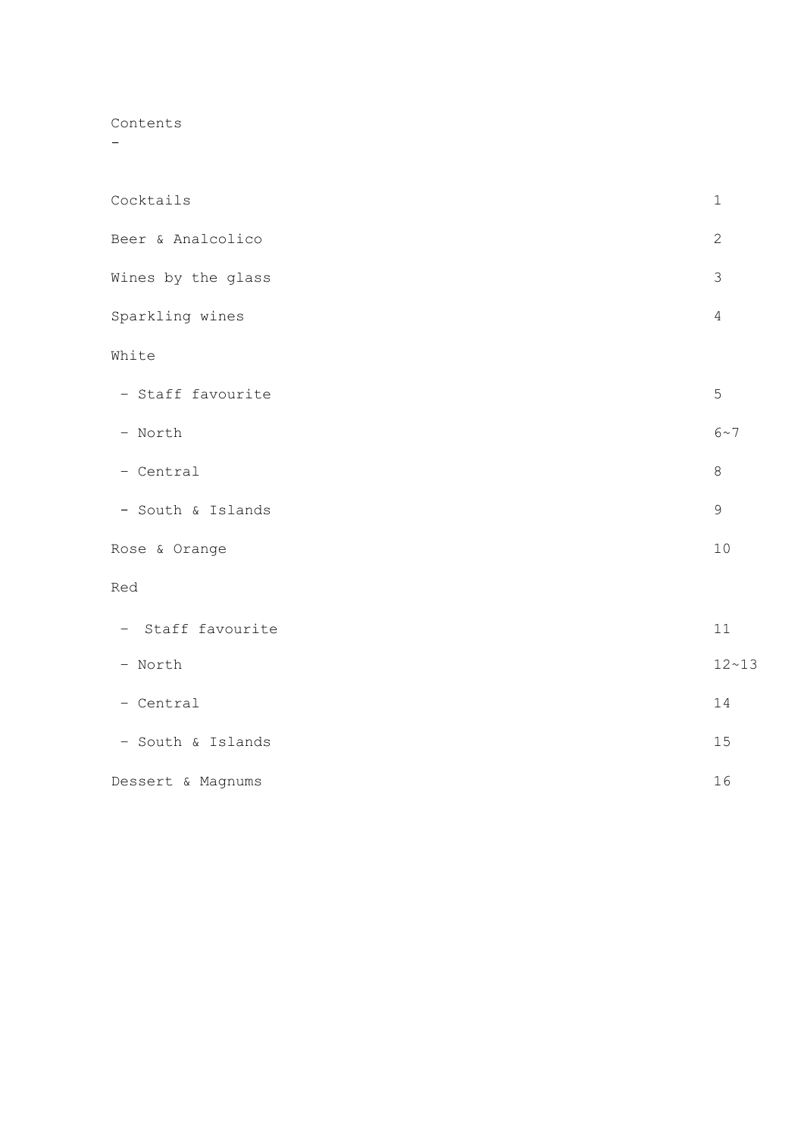Contents

-

| Cocktails          | $1\,$         |
|--------------------|---------------|
| Beer & Analcolico  | $\mathbf{2}$  |
| Wines by the glass | $\mathcal{S}$ |
| Sparkling wines    | $\sqrt{4}$    |
| White              |               |
| - Staff favourite  | 5             |
| - North            | $6\!\sim\!7$  |
| - Central          | $\,8\,$       |
| - South & Islands  | $\mathsf 9$   |
| Rose & Orange      | 10            |
| Red                |               |
| - Staff favourite  | 11            |
| - North            | $12 - 13$     |
| - Central          | 14            |
| - South & Islands  | 15            |
| Dessert & Magnums  | 16            |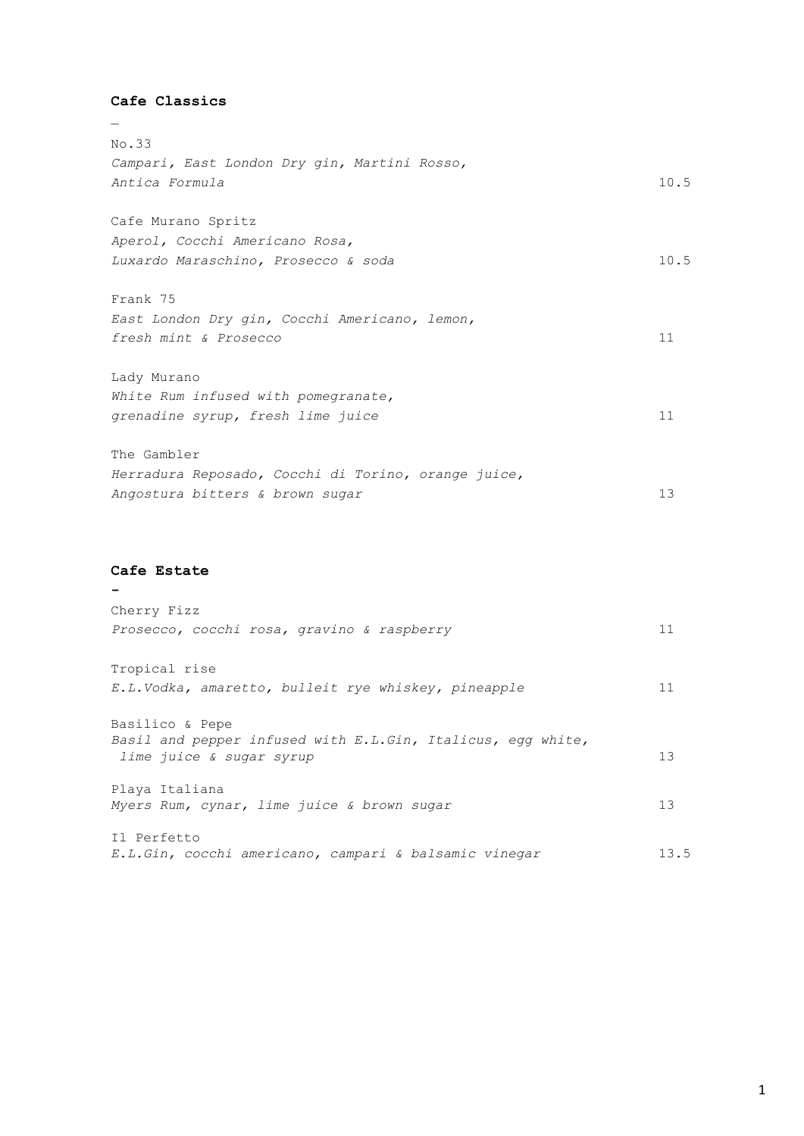| Cafe Classics                                       |      |
|-----------------------------------------------------|------|
|                                                     |      |
| No.33                                               |      |
| Campari, East London Dry gin, Martini Rosso,        |      |
| Antica Formula                                      | 10.5 |
| Cafe Murano Spritz                                  |      |
| Aperol, Cocchi Americano Rosa,                      |      |
| Luxardo Maraschino, Prosecco & soda                 | 10.5 |
| Frank 75                                            |      |
| East London Dry gin, Cocchi Americano, lemon,       |      |
| fresh mint & Prosecco                               | 11   |
| Lady Murano                                         |      |
| White Rum infused with pomegranate,                 |      |
| grenadine syrup, fresh lime juice                   | 11   |
| The Gambler                                         |      |
| Herradura Reposado, Cocchi di Torino, orange juice, |      |
| Angostura bitters & brown sugar                     | 13   |

# **Cafe Estate**

**-**

| Cherry Fizz                                                                             |      |
|-----------------------------------------------------------------------------------------|------|
| Prosecco, cocchi rosa, gravino & raspberry                                              | 11   |
| Tropical rise                                                                           |      |
| E.L.Vodka, amaretto, bulleit rye whiskey, pineapple                                     | 11   |
| Basilico & Pepe                                                                         |      |
| Basil and pepper infused with E.L.Gin, Italicus, egg white,<br>lime juice & sugar syrup | 13   |
| Playa Italiana                                                                          |      |
| Myers Rum, cynar, lime juice & brown sugar                                              | 13   |
| Il Perfetto                                                                             |      |
| E.L.Gin, cocchi americano, campari & balsamic vinegar                                   | 13.5 |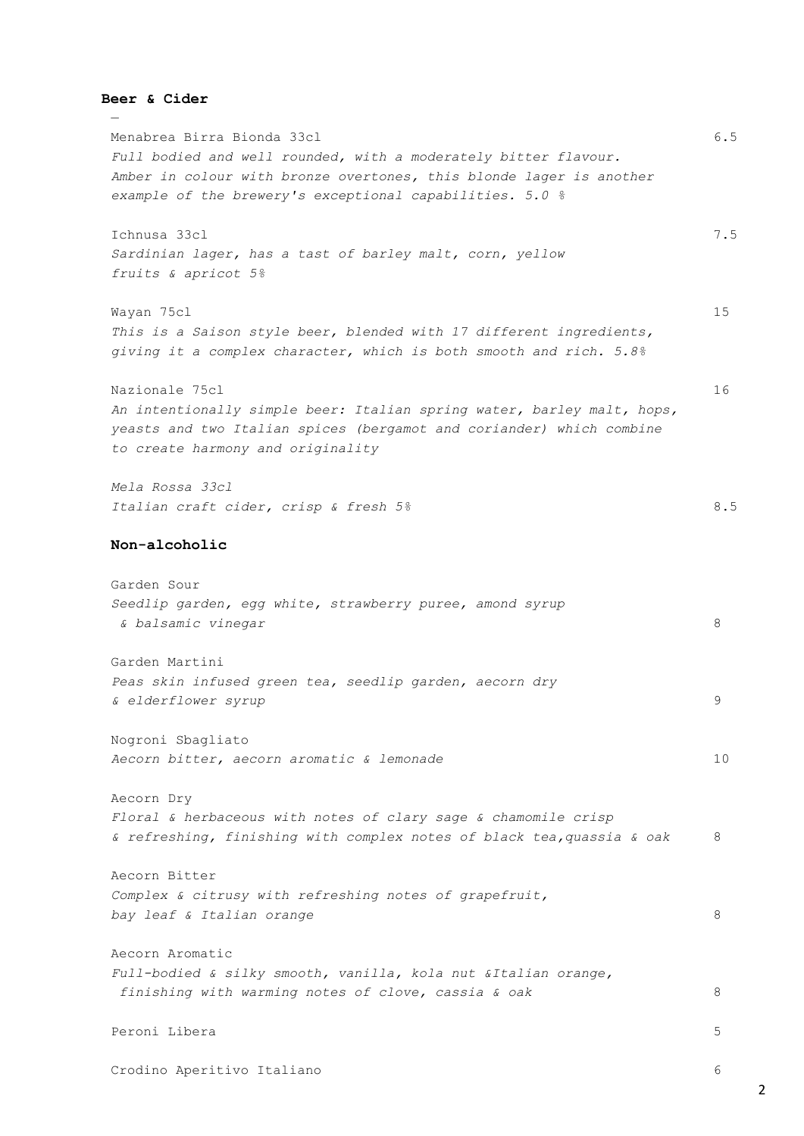### **Beer & Cider**

—

Menabrea Birra Bionda 33cl 6.5 *Full bodied and well rounded, with a moderately bitter flavour. Amber in colour with bronze overtones, this blonde lager is another example of the brewery's exceptional capabilities. 5.0 %* Ichnusa 33cl 7.5 *Sardinian lager, has a tast of barley malt, corn, yellow fruits & apricot 5%* Wayan 75cl 15 *This is a Saison style beer, blended with 17 different ingredients, giving it a complex character, which is both smooth and rich. 5.8%* Nazionale 75cl 16 *An intentionally simple beer: Italian spring water, barley malt, hops, yeasts and two Italian spices (bergamot and coriander) which combine to create harmony and originality Mela Rossa 33cl Italian craft cider, crisp & fresh 5%* 8.5 **Non-alcoholic** Garden Sour *Seedlip garden, egg white, strawberry puree, amond syrup & balsamic vinegar* 8 Garden Martini *Peas skin infused green tea, seedlip garden, aecorn dry & elderflower syrup* 9 Nogroni Sbagliato *Aecorn bitter, aecorn aromatic & lemonade* 10 Aecorn Dry *Floral & herbaceous with notes of clary sage & chamomile crisp & refreshing, finishing with complex notes of black tea,quassia & oak* 8 Aecorn Bitter *Complex & citrusy with refreshing notes of grapefruit, bay leaf & Italian orange* 8 Aecorn Aromatic *Full-bodied & silky smooth, vanilla, kola nut &Italian orange, finishing with warming notes of clove, cassia & oak* 8 Peroni Libera 5 Crodino Aperitivo Italiano 6

2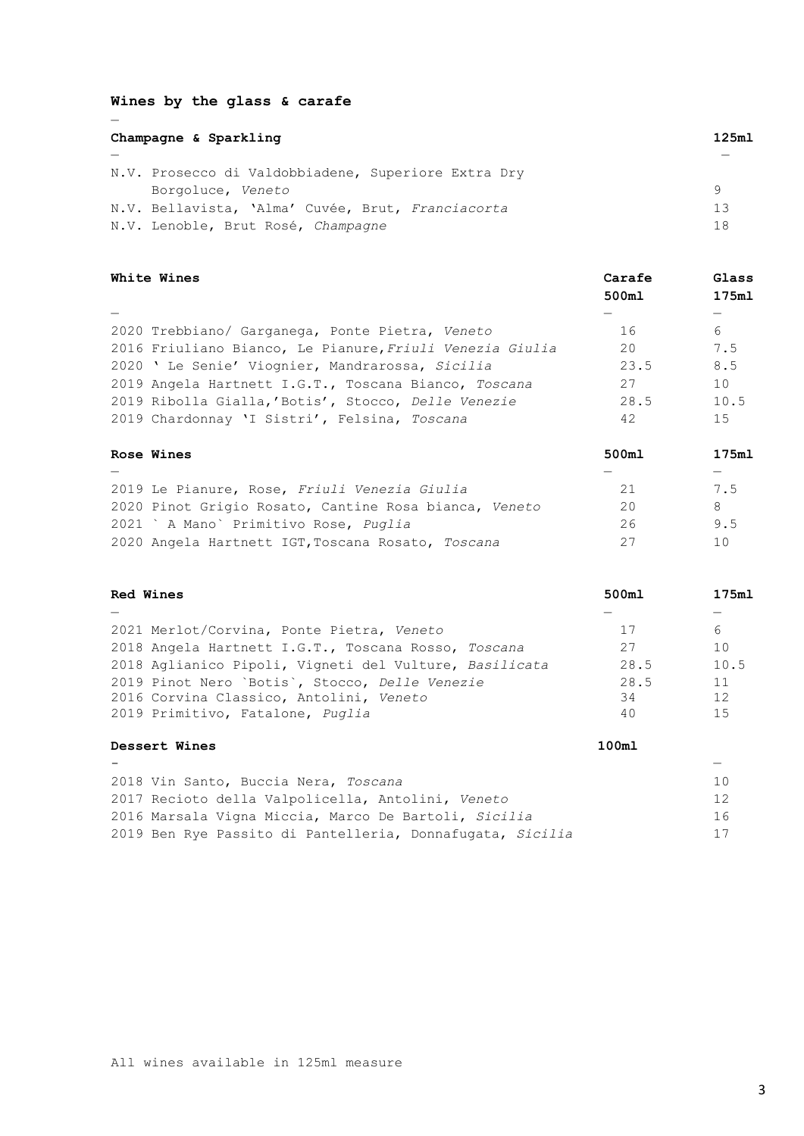# **Wines by the glass & carafe**

—

| Champagne & Sparkling                               | 125m1 |
|-----------------------------------------------------|-------|
|                                                     |       |
| N.V. Prosecco di Valdobbiadene, Superiore Extra Dry |       |
| Borgoluce, Veneto                                   | 9     |
| N.V. Bellavista, 'Alma' Cuvée, Brut, Franciacorta   | 13    |
| N.V. Lenoble, Brut Rosé, Champagne                  | 18    |

| White Wines                                              | Carafe<br>500ml | Glass<br>175m1 |
|----------------------------------------------------------|-----------------|----------------|
|                                                          |                 |                |
| 2020 Trebbiano/ Garganega, Ponte Pietra, Veneto          | 16              | 6              |
| 2016 Friuliano Bianco, Le Pianure, Friuli Venezia Giulia | 20              | 7.5            |
| 2020 'Le Senie' Viognier, Mandrarossa, Sicilia           | 23.5            | 8.5            |
| 2019 Angela Hartnett I.G.T., Toscana Bianco, Toscana     | 27              | 10             |
| 2019 Ribolla Gialla, 'Botis', Stocco, Delle Venezie      | 28.5            | 10.5           |
| 2019 Chardonnay 'I Sistri', Felsina, Toscana             | 42              | 15             |
| Rose Wines                                               | 500m1           | 175m1          |
|                                                          |                 |                |
| 2019 Le Pianure, Rose, Friuli Venezia Giulia             | 21              | 7.5            |

| ZUIY Le Pianure, Rose, Friuli Venezia Giulia          |     | 1.5 |
|-------------------------------------------------------|-----|-----|
| 2020 Pinot Grigio Rosato, Cantine Rosa bianca, Veneto | 20  | x   |
| 2021 ` A Mano` Primitivo Rose, Puglia                 | クト  | 9.5 |
| 2020 Angela Hartnett IGT, Toscana Rosato, Toscana     | -27 | 1 O |

| <b>Red Wines</b>                                       | 500ml | 175ml |
|--------------------------------------------------------|-------|-------|
|                                                        |       |       |
| 2021 Merlot/Corvina, Ponte Pietra, Veneto              | 17    | 6     |
| 2018 Angela Hartnett I.G.T., Toscana Rosso, Toscana    | 27    | 10    |
| 2018 Aglianico Pipoli, Vigneti del Vulture, Basilicata | 28.5  | 10.5  |
| 2019 Pinot Nero `Botis`, Stocco, Delle Venezie         | 28.5  | 11    |
| 2016 Corvina Classico, Antolini, Veneto                | 34    | 12    |
| 2019 Primitivo, Fatalone, Puglia                       | 40    | 15    |
| Dessert Wines                                          | 100m1 |       |

| $\overline{\phantom{0}}$                                  | $\overline{\phantom{0}}$ |
|-----------------------------------------------------------|--------------------------|
| 2018 Vin Santo, Buccia Nera, Toscana                      | 1 <sub>0</sub>           |
| 2017 Recioto della Valpolicella, Antolini, Veneto         | 12                       |
| 2016 Marsala Vigna Miccia, Marco De Bartoli, Sicilia      | 16                       |
| 2019 Ben Rye Passito di Pantelleria, Donnafugata, Sicilia | 17                       |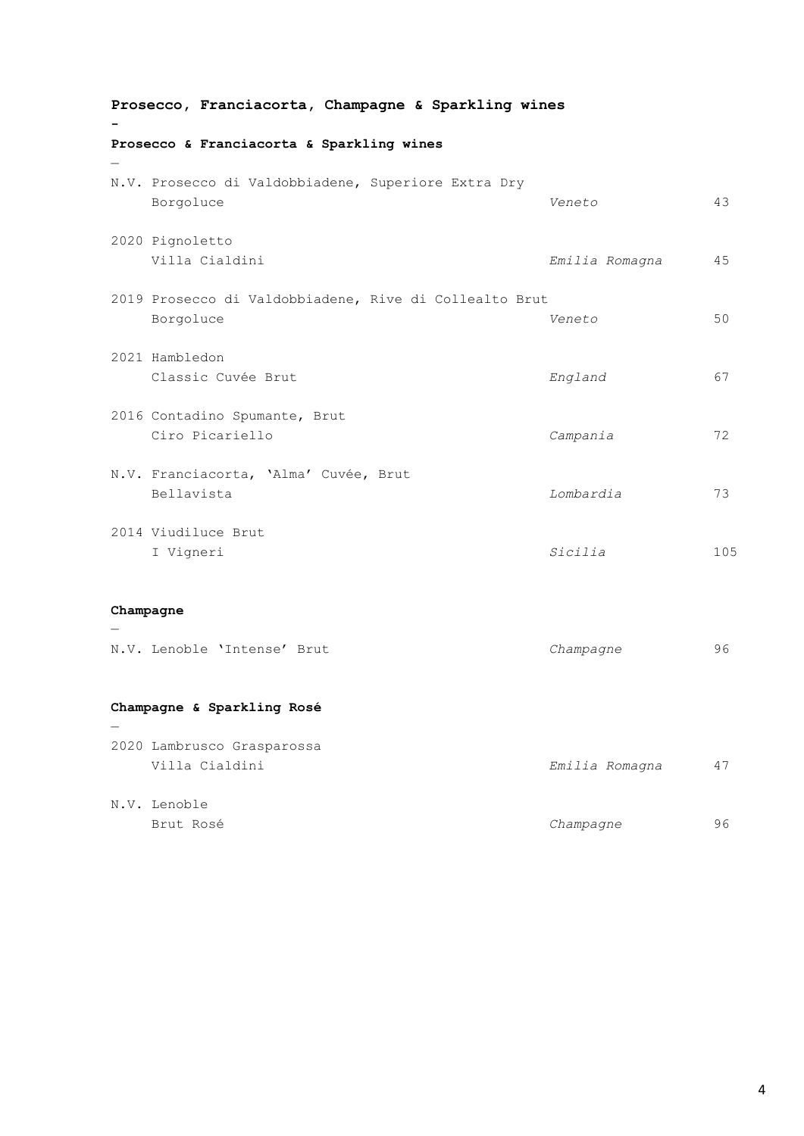| Prosecco, Franciacorta, Champagne & Sparkling wines |                                                                     |                |     |
|-----------------------------------------------------|---------------------------------------------------------------------|----------------|-----|
|                                                     | Prosecco & Franciacorta & Sparkling wines                           |                |     |
|                                                     | N.V. Prosecco di Valdobbiadene, Superiore Extra Dry<br>Borgoluce    | Veneto         | 43  |
|                                                     | 2020 Pignoletto<br>Villa Cialdini                                   | Emilia Romagna | 45  |
|                                                     | 2019 Prosecco di Valdobbiadene, Rive di Collealto Brut<br>Borgoluce | Veneto         | 50  |
|                                                     | 2021 Hambledon<br>Classic Cuvée Brut                                | England        | 67  |
|                                                     | 2016 Contadino Spumante, Brut<br>Ciro Picariello                    | Campania       | 72  |
|                                                     | N.V. Franciacorta, 'Alma' Cuvée, Brut<br>Bellavista                 | Lombardia      | 73  |
|                                                     | 2014 Viudiluce Brut<br>I Vigneri                                    | Sicilia        | 105 |
|                                                     | Champagne                                                           |                |     |
|                                                     | N.V. Lenoble 'Intense' Brut                                         | Champagne      | 96  |
|                                                     | Champagne & Sparkling Rosé                                          |                |     |
|                                                     | 2020 Lambrusco Grasparossa<br>Villa Cialdini                        | Emilia Romagna | 47  |
|                                                     | N.V. Lenoble<br>Brut Rosé                                           | Champagne      | 96  |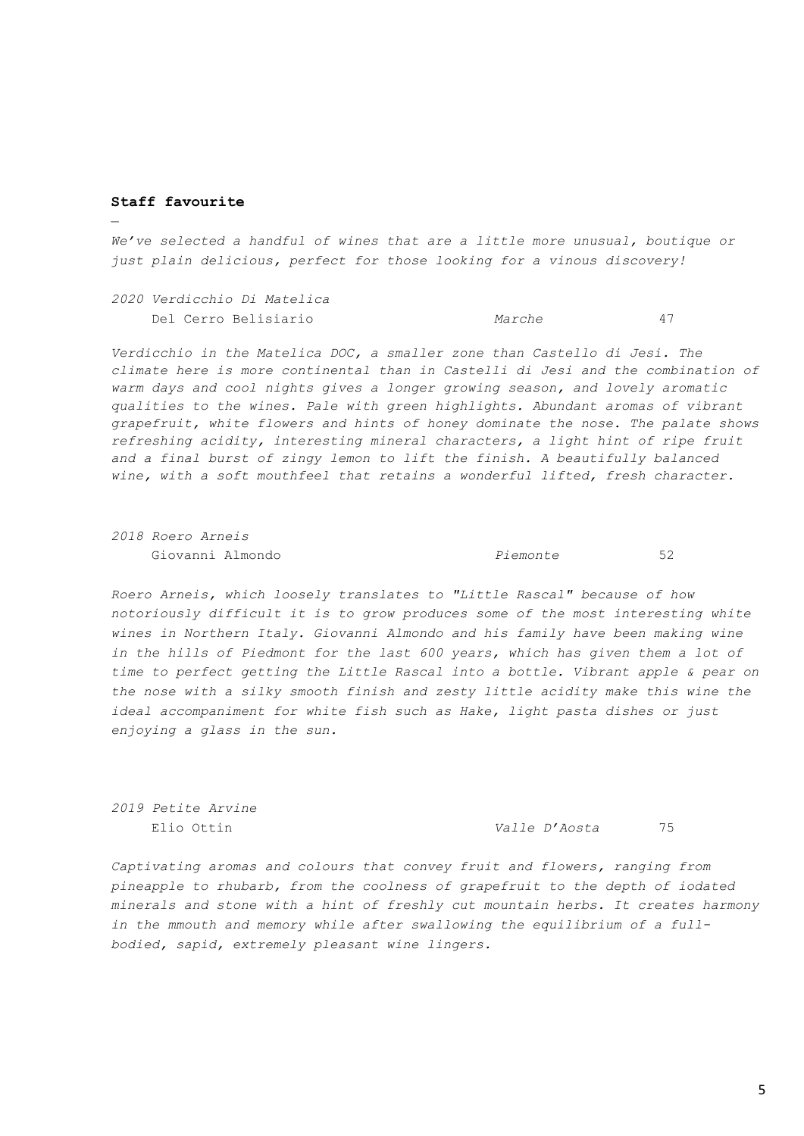### **Staff favourite**

—

*We've selected a handful of wines that are a little more unusual, boutique or just plain delicious, perfect for those looking for a vinous discovery!*

*2020 Verdicchio Di Matelica* Del Cerro Belisiario *Marche* 47

*Verdicchio in the Matelica DOC, a smaller zone than Castello di Jesi. The climate here is more continental than in Castelli di Jesi and the combination of warm days and cool nights gives a longer growing season, and lovely aromatic qualities to the wines. Pale with green highlights. Abundant aromas of vibrant grapefruit, white flowers and hints of honey dominate the nose. The palate shows refreshing acidity, interesting mineral characters, a light hint of ripe fruit and a final burst of zingy lemon to lift the finish. A beautifully balanced wine, with a soft mouthfeel that retains a wonderful lifted, fresh character.*

*2018 Roero Arneis*

Giovanni Almondo *Piemonte* 52

*Roero Arneis, which loosely translates to "Little Rascal" because of how notoriously difficult it is to grow produces some of the most interesting white wines in Northern Italy. Giovanni Almondo and his family have been making wine in the hills of Piedmont for the last 600 years, which has given them a lot of time to perfect getting the Little Rascal into a bottle. Vibrant apple & pear on the nose with a silky smooth finish and zesty little acidity make this wine the ideal accompaniment for white fish such as Hake, light pasta dishes or just enjoying a glass in the sun.*

*2019 Petite Arvine*

Elio Ottin *Valle D'Aosta* 75

*Captivating aromas and colours that convey fruit and flowers, ranging from pineapple to rhubarb, from the coolness of grapefruit to the depth of iodated minerals and stone with a hint of freshly cut mountain herbs. It creates harmony in the mmouth and memory while after swallowing the equilibrium of a fullbodied, sapid, extremely pleasant wine lingers.*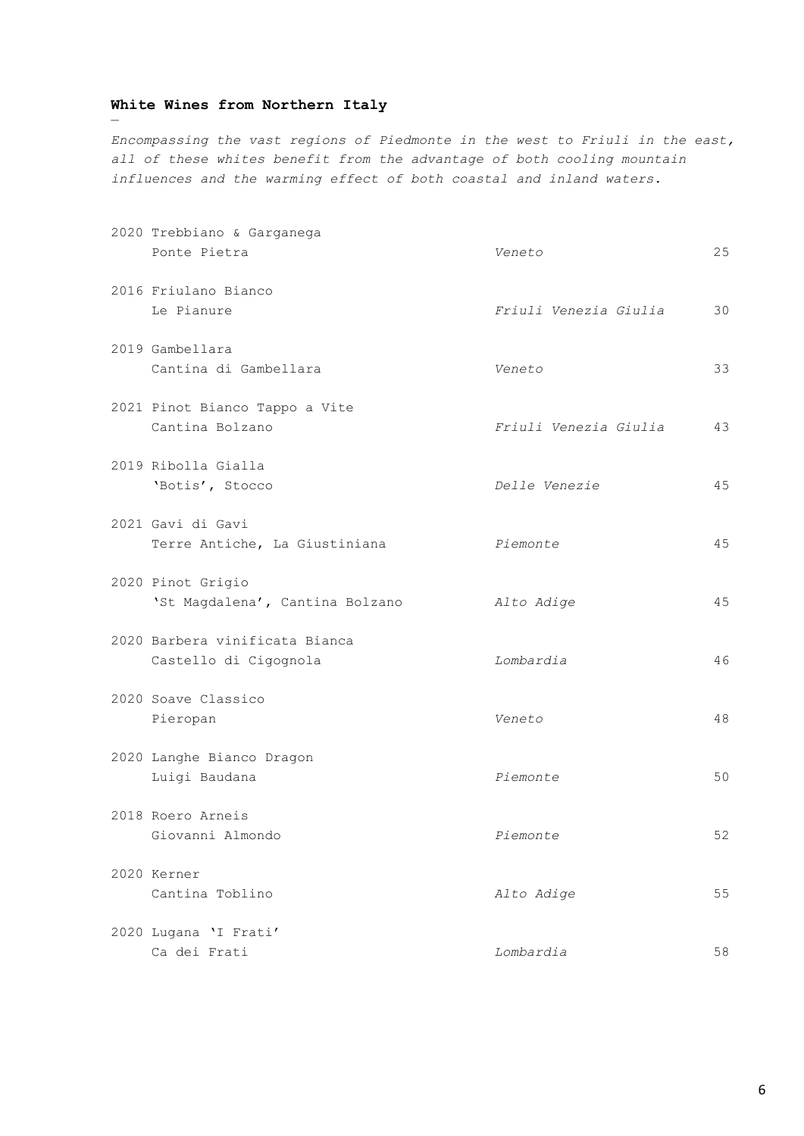# **White Wines from Northern Italy**

—

*Encompassing the vast regions of Piedmonte in the west to Friuli in the east, all of these whites benefit from the advantage of both cooling mountain influences and the warming effect of both coastal and inland waters.*

| 2020 Trebbiano & Garganega<br>Ponte Pietra              | Veneto                | 25 |
|---------------------------------------------------------|-----------------------|----|
| 2016 Friulano Bianco<br>Le Pianure                      | Friuli Venezia Giulia | 30 |
| 2019 Gambellara<br>Cantina di Gambellara                | Veneto                | 33 |
| 2021 Pinot Bianco Tappo a Vite<br>Cantina Bolzano       | Friuli Venezia Giulia | 43 |
| 2019 Ribolla Gialla<br>'Botis', Stocco                  | Delle Venezie         | 45 |
| 2021 Gavi di Gavi<br>Terre Antiche, La Giustiniana      | Piemonte              | 45 |
| 2020 Pinot Grigio<br>'St Magdalena', Cantina Bolzano    | Alto Adige            | 45 |
| 2020 Barbera vinificata Bianca<br>Castello di Cigognola | Lombardia             | 46 |
| 2020 Soave Classico<br>Pieropan                         | Veneto                | 48 |
| 2020 Langhe Bianco Dragon<br>Luigi Baudana              | Piemonte              | 50 |
| 2018 Roero Arneis<br>Giovanni Almondo                   | Piemonte              | 52 |
| 2020 Kerner<br>Cantina Toblino                          | Alto Adige            | 55 |
| 2020 Lugana 'I Frati'<br>Ca dei Frati                   | Lombardia             | 58 |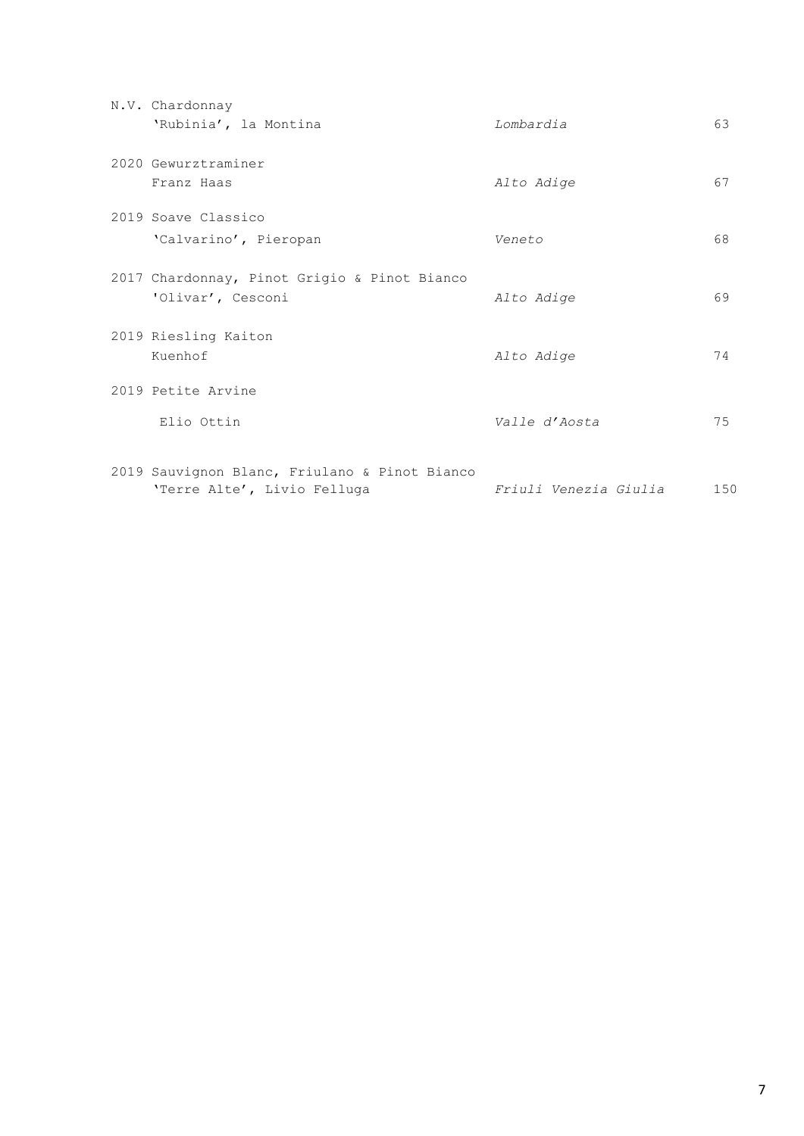| N.V. Chardonnay                                                              |                       |     |
|------------------------------------------------------------------------------|-----------------------|-----|
| 'Rubinia', la Montina                                                        | Lombardia             | 63  |
| 2020 Gewurztraminer                                                          |                       |     |
| Franz Haas                                                                   | Alto Adige            | 67  |
| 2019 Soave Classico                                                          |                       |     |
| 'Calvarino', Pieropan                                                        | Veneto                | 68  |
| 2017 Chardonnay, Pinot Grigio & Pinot Bianco                                 |                       |     |
| 'Olivar', Cesconi                                                            | Alto Adige            | 69  |
| 2019 Riesling Kaiton                                                         |                       |     |
| Kuenhof                                                                      | Alto Adige            | 74  |
| 2019 Petite Arvine                                                           |                       |     |
| Elio Ottin                                                                   | Valle d'Aosta         | 75  |
|                                                                              |                       |     |
| 2019 Sauvignon Blanc, Friulano & Pinot Bianco<br>'Terre Alte', Livio Felluga | Friuli Venezia Giulia | 150 |
|                                                                              |                       |     |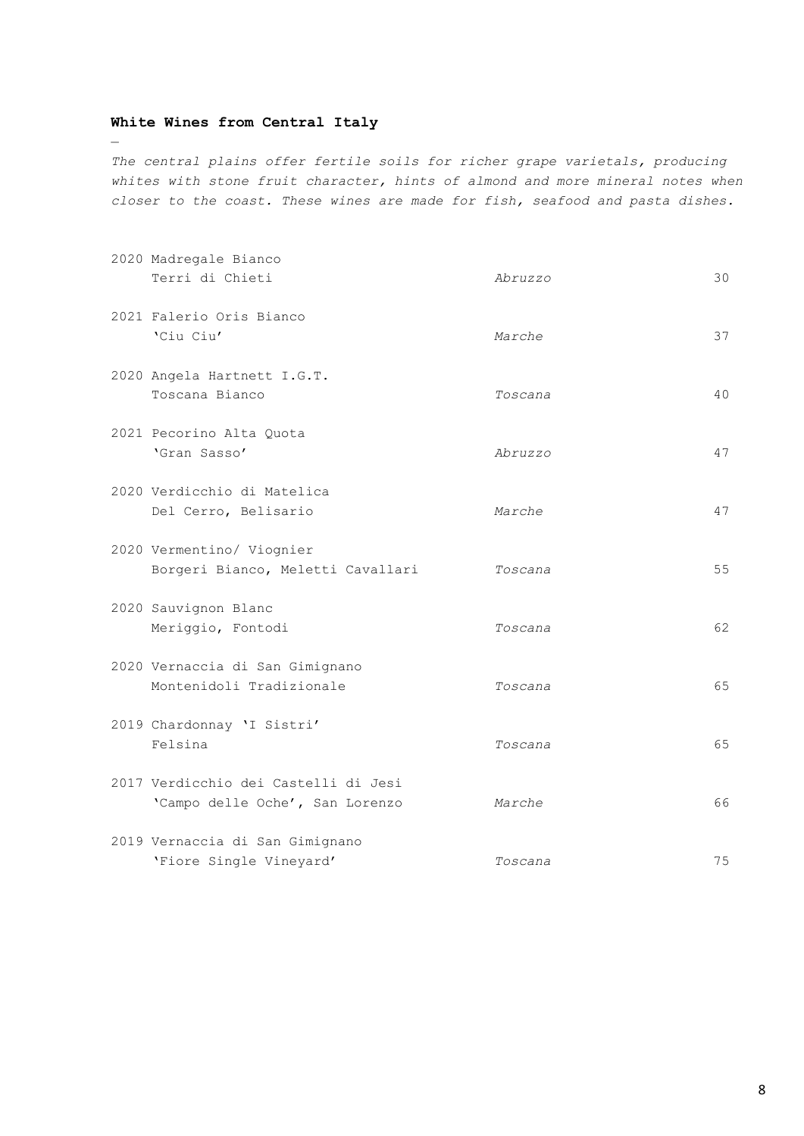# **White Wines from Central Italy**

—

*The central plains offer fertile soils for richer grape varietals, producing whites with stone fruit character, hints of almond and more mineral notes when closer to the coast. These wines are made for fish, seafood and pasta dishes.*

| 2020 Madregale Bianco<br>Terri di Chieti                                | Abruzzo | 30 |
|-------------------------------------------------------------------------|---------|----|
| 2021 Falerio Oris Bianco<br>'Ciu Ciu'                                   | Marche  | 37 |
| 2020 Angela Hartnett I.G.T.<br>Toscana Bianco                           | Toscana | 40 |
| 2021 Pecorino Alta Quota<br>'Gran Sasso'                                | Abruzzo | 47 |
| 2020 Verdicchio di Matelica<br>Del Cerro, Belisario                     | Marche  | 47 |
| 2020 Vermentino/ Viognier<br>Borgeri Bianco, Meletti Cavallari          | Toscana | 55 |
| 2020 Sauvignon Blanc<br>Meriggio, Fontodi                               | Toscana | 62 |
| 2020 Vernaccia di San Gimignano<br>Montenidoli Tradizionale             | Toscana | 65 |
| 2019 Chardonnay 'I Sistri'<br>Felsina                                   | Toscana | 65 |
| 2017 Verdicchio dei Castelli di Jesi<br>'Campo delle Oche', San Lorenzo | Marche  | 66 |
| 2019 Vernaccia di San Gimignano<br>'Fiore Single Vineyard'              | Toscana | 75 |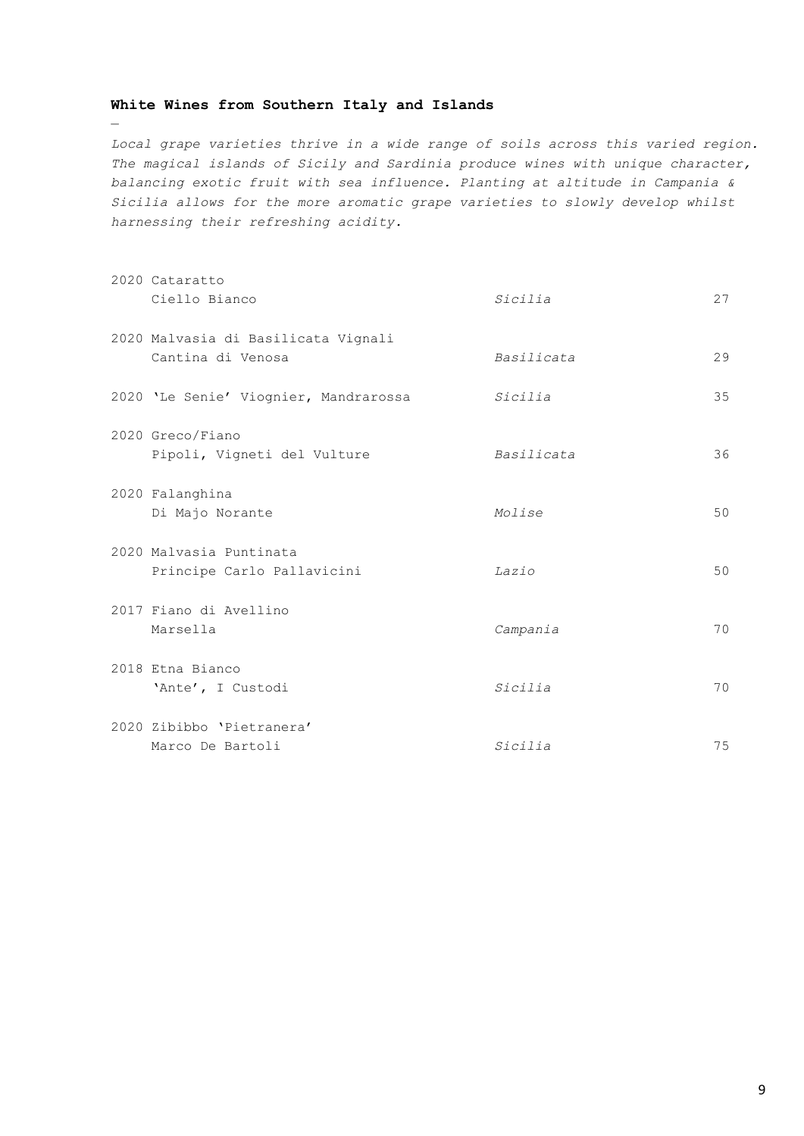## **White Wines from Southern Italy and Islands**

—

*Local grape varieties thrive in a wide range of soils across this varied region. The magical islands of Sicily and Sardinia produce wines with unique character, balancing exotic fruit with sea influence. Planting at altitude in Campania & Sicilia allows for the more aromatic grape varieties to slowly develop whilst harnessing their refreshing acidity.* 

| 2020 Cataratto                        |            |    |
|---------------------------------------|------------|----|
| Ciello Bianco                         | Sicilia    | 27 |
| 2020 Malvasia di Basilicata Vignali   |            |    |
| Cantina di Venosa                     | Basilicata | 29 |
| 2020 'Le Senie' Viognier, Mandrarossa | Sicilia    | 35 |
| 2020 Greco/Fiano                      |            |    |
| Pipoli, Vigneti del Vulture           | Basilicata | 36 |
| 2020 Falanghina                       |            |    |
| Di Majo Norante                       | Molise     | 50 |
| 2020 Malvasia Puntinata               |            |    |
| Principe Carlo Pallavicini            | Lazio      | 50 |
| 2017 Fiano di Avellino                |            |    |
| Marsella                              | Campania   | 70 |
| 2018 Etna Bianco                      |            |    |
| 'Ante', I Custodi                     | Sicilia    | 70 |
| 2020 Zibibbo 'Pietranera'             |            |    |
| Marco De Bartoli                      | Sicilia    | 75 |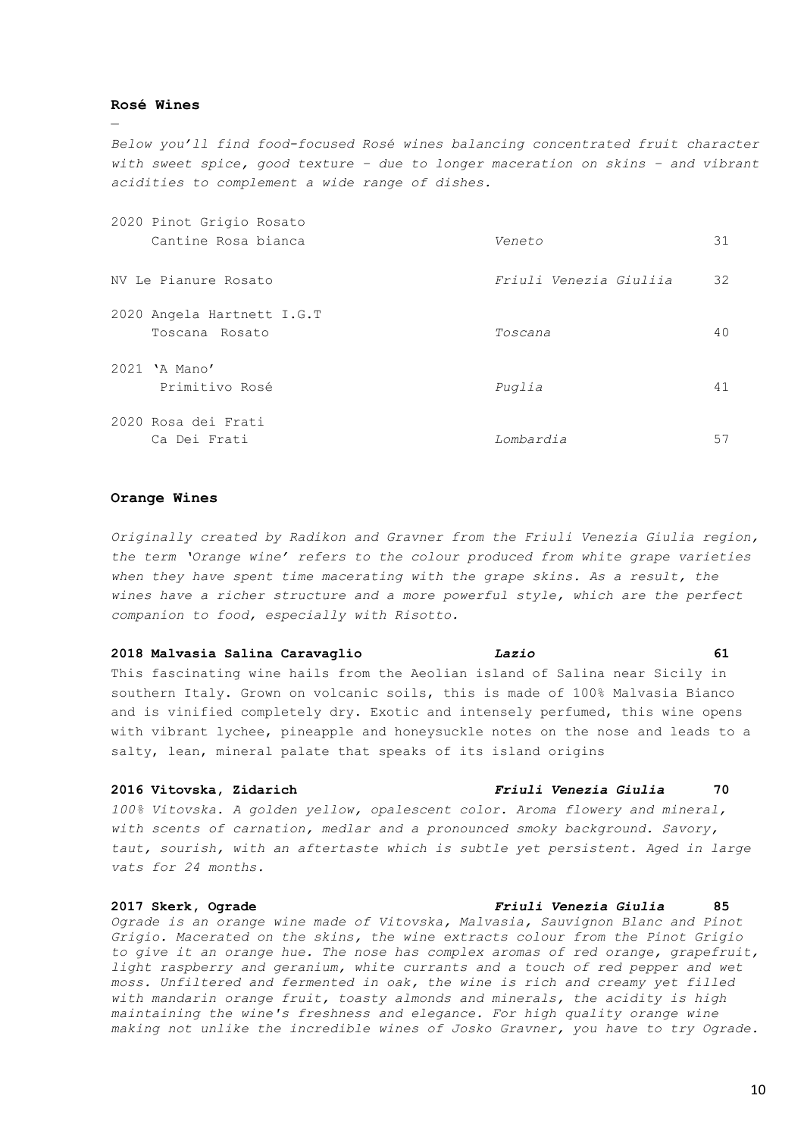### **Rosé Wines**

—

*Below you'll find food-focused Rosé wines balancing concentrated fruit character with sweet spice, good texture – due to longer maceration on skins – and vibrant acidities to complement a wide range of dishes.*

| 2020 Pinot Grigio Rosato                     |                        |    |
|----------------------------------------------|------------------------|----|
| Cantine Rosa bianca                          | Veneto                 | 31 |
| NV Le Pianure Rosato                         | Friuli Venezia Giuliia | 32 |
| 2020 Angela Hartnett I.G.T<br>Toscana Rosato | Toscana                | 40 |
| 2021 'A Mano'<br>Primitivo Rosé              | Puglia                 | 41 |
| 2020 Rosa dei Frati<br>Ca Dei Frati          | Lombardia              | 57 |

### **Orange Wines**

*Originally created by Radikon and Gravner from the Friuli Venezia Giulia region, the term 'Orange wine' refers to the colour produced from white grape varieties*  when they have spent time macerating with the grape skins. As a result, the *wines have a richer structure and a more powerful style, which are the perfect companion to food, especially with Risotto.*

### **2018 Malvasia Salina Caravaglio** *Lazio* **61**

This fascinating wine hails from the Aeolian island of Salina near Sicily in southern Italy. Grown on volcanic soils, this is made of 100% Malvasia Bianco and is vinified completely dry. Exotic and intensely perfumed, this wine opens with vibrant lychee, pineapple and honeysuckle notes on the nose and leads to a salty, lean, mineral palate that speaks of its island origins

*100% Vitovska. A golden yellow, opalescent color. Aroma flowery and mineral, with scents of carnation, medlar and a pronounced smoky background. Savory, taut, sourish, with an aftertaste which is subtle yet persistent. Aged in large vats for 24 months.*

### **2017 Skerk, Ograde** *Friuli Venezia Giulia* **85**

*Ograde is an orange wine made of Vitovska, Malvasia, Sauvignon Blanc and Pinot Grigio. Macerated on the skins, the wine extracts colour from the Pinot Grigio to give it an orange hue. The nose has complex aromas of red orange, grapefruit, light raspberry and geranium, white currants and a touch of red pepper and wet moss. Unfiltered and fermented in oak, the wine is rich and creamy yet filled with mandarin orange fruit, toasty almonds and minerals, the acidity is high maintaining the wine's freshness and elegance. For high quality orange wine making not unlike the incredible wines of Josko Gravner, you have to try Ograde.*

### **2016 Vitovska, Zidarich** *Friuli Venezia Giulia* **70**

10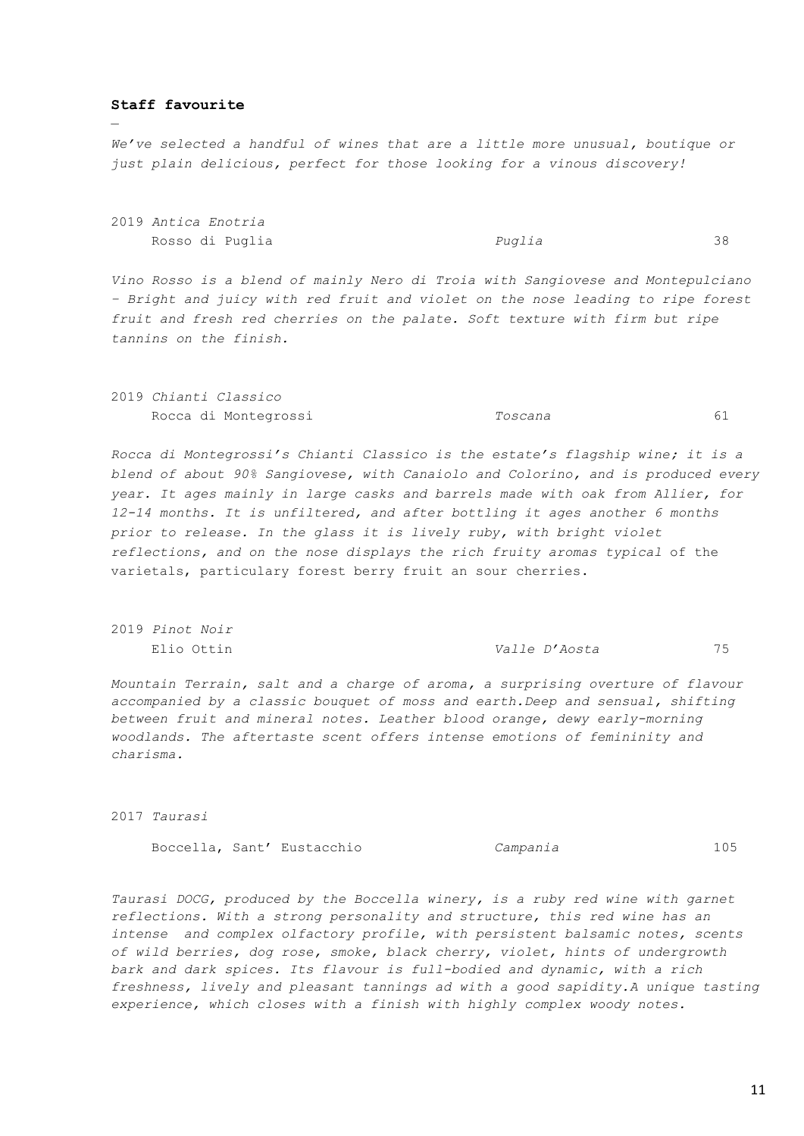### **Staff favourite**

—

*We've selected a handful of wines that are a little more unusual, boutique or just plain delicious, perfect for those looking for a vinous discovery!*

2019 *Antica Enotria* Rosso di Puglia *Puglia* 38

*Vino Rosso is a blend of mainly Nero di Troia with Sangiovese and Montepulciano – Bright and juicy with red fruit and violet on the nose leading to ripe forest fruit and fresh red cherries on the palate. Soft texture with firm but ripe tannins on the finish.*

|  | 2019 Chianti Classico |         |  |
|--|-----------------------|---------|--|
|  | Rocca di Montegrossi  | Toscana |  |

*Rocca di Montegrossi's Chianti Classico is the estate's flagship wine; it is a blend of about 90% Sangiovese, with Canaiolo and Colorino, and is produced every year. It ages mainly in large casks and barrels made with oak from Allier, for 12-14 months. It is unfiltered, and after bottling it ages another 6 months prior to release. In the glass it is lively ruby, with bright violet reflections, and on the nose displays the rich fruity aromas typical* of the varietals, particulary forest berry fruit an sour cherries.

2019 *Pinot Noir*

Elio Ottin *Valle D'Aosta* 75

*Mountain Terrain, salt and a charge of aroma, a surprising overture of flavour accompanied by a classic bouquet of moss and earth.Deep and sensual, shifting between fruit and mineral notes. Leather blood orange, dewy early-morning woodlands. The aftertaste scent offers intense emotions of femininity and charisma.*

2017 *Taurasi* 

Boccella, Sant' Eustacchio *Campania* 105

*Taurasi DOCG, produced by the Boccella winery, is a ruby red wine with garnet reflections. With a strong personality and structure, this red wine has an intense and complex olfactory profile, with persistent balsamic notes, scents of wild berries, dog rose, smoke, black cherry, violet, hints of undergrowth bark and dark spices. Its flavour is full-bodied and dynamic, with a rich freshness, lively and pleasant tannings ad with a good sapidity.A unique tasting experience, which closes with a finish with highly complex woody notes.*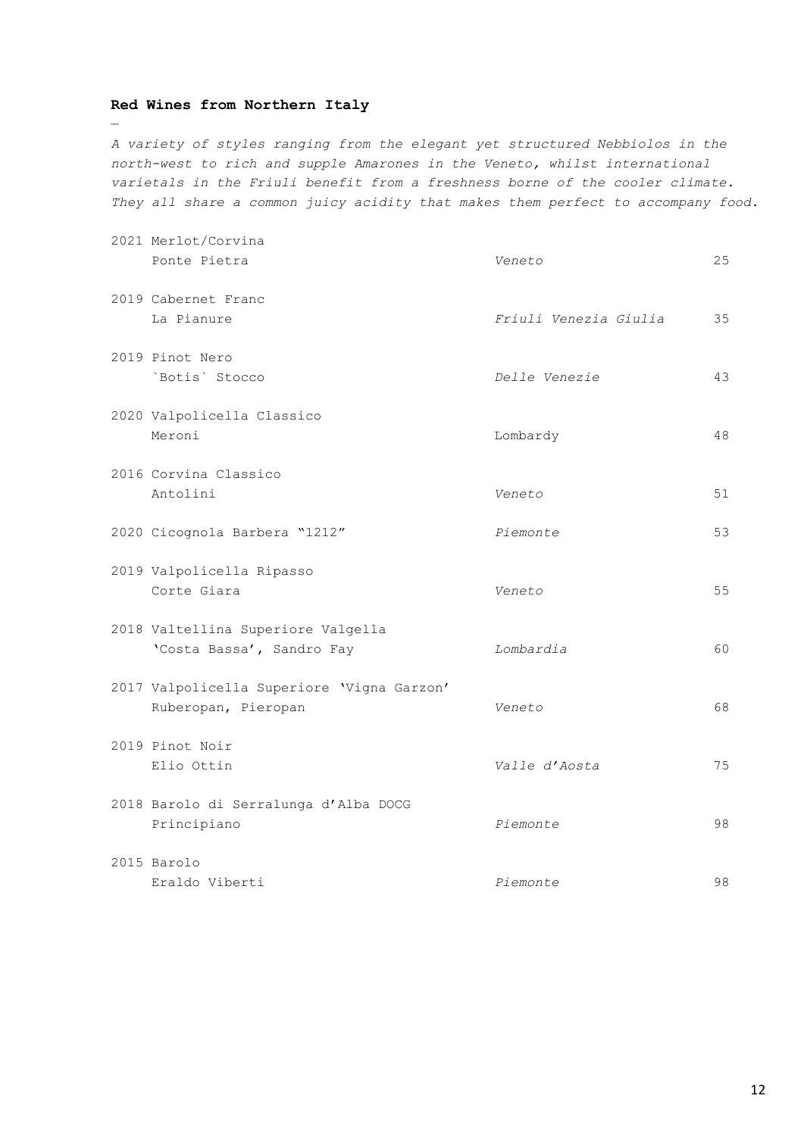### **Red Wines from Northern Italy**

—

*A variety of styles ranging from the elegant yet structured Nebbiolos in the north-west to rich and supple Amarones in the Veneto, whilst international varietals in the Friuli benefit from a freshness borne of the cooler climate. They all share a common juicy acidity that makes them perfect to accompany food.* 

| 2021 Merlot/Corvina<br>Ponte Pietra                               | Veneto                | 25              |
|-------------------------------------------------------------------|-----------------------|-----------------|
| 2019 Cabernet Franc<br>La Pianure                                 | Friuli Venezia Giulia | 35              |
| 2019 Pinot Nero<br>`Botis` Stocco                                 | Delle Venezie         | 43              |
| 2020 Valpolicella Classico<br>Meroni                              | Lombardy              | 48              |
| 2016 Corvina Classico<br>Antolini                                 | Veneto                | 51              |
| 2020 Cicognola Barbera "1212"                                     | Piemonte              | 53              |
| 2019 Valpolicella Ripasso<br>Corte Giara                          | Veneto                | 55 <sub>5</sub> |
| 2018 Valtellina Superiore Valgella<br>'Costa Bassa', Sandro Fay   | Lombardia             | 60              |
| 2017 Valpolicella Superiore 'Vigna Garzon'<br>Ruberopan, Pieropan | Veneto                | 68              |
| 2019 Pinot Noir<br>Elio Ottin                                     | Valle d'Aosta         | 75              |
| 2018 Barolo di Serralunga d'Alba DOCG<br>Principiano              | Piemonte              | 98              |
| 2015 Barolo<br>Eraldo Viberti                                     | Piemonte              | 98              |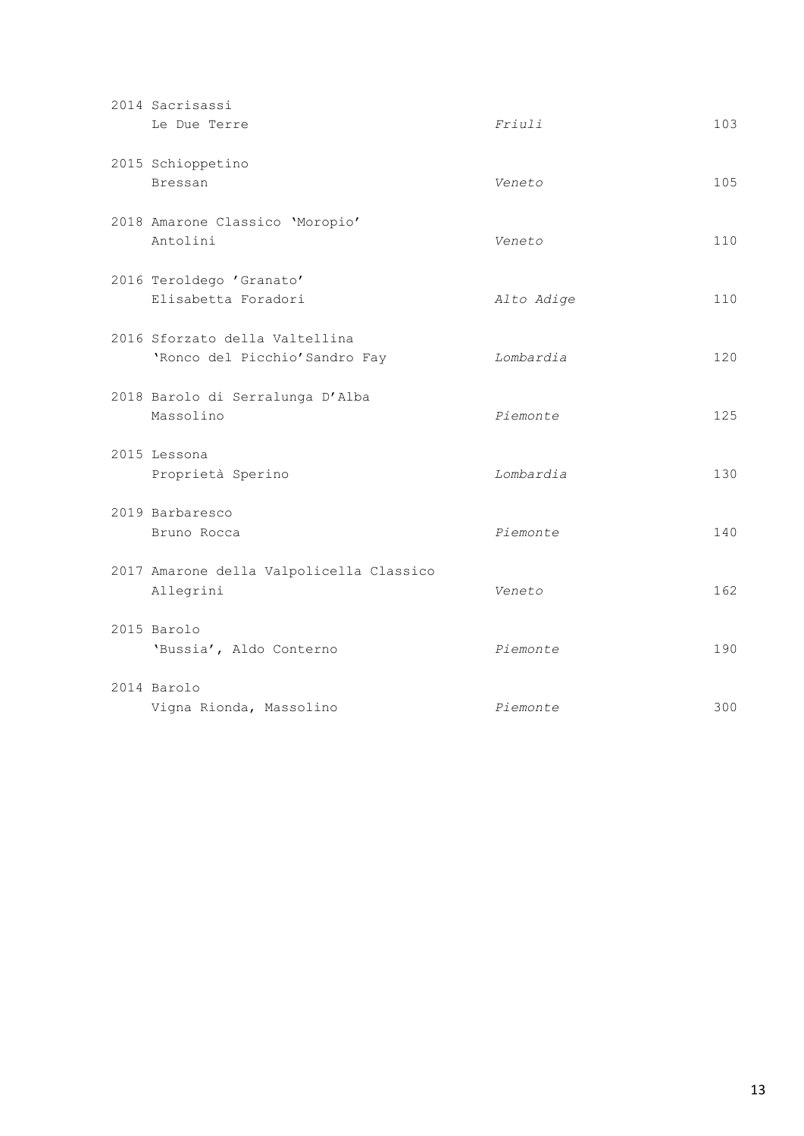| 2014 Sacrisassi<br>Le Due Terre                                  | Friulli    | 103 |
|------------------------------------------------------------------|------------|-----|
| 2015 Schioppetino<br><b>Bressan</b>                              | Veneto     | 105 |
| 2018 Amarone Classico 'Moropio'<br>Antolini                      | Veneto     | 110 |
| 2016 Teroldego 'Granato'<br>Elisabetta Foradori                  | Alto Adige | 110 |
| 2016 Sforzato della Valtellina<br>'Ronco del Picchio' Sandro Fay | Lombardia  | 120 |
| 2018 Barolo di Serralunga D'Alba<br>Massolino                    | Piemonte   | 125 |
| 2015 Lessona<br>Proprietà Sperino                                | Lombardia  | 130 |
| 2019 Barbaresco<br>Bruno Rocca                                   | Piemonte   | 140 |
| 2017 Amarone della Valpolicella Classico<br>Allegrini            | Veneto     | 162 |
| 2015 Barolo<br>'Bussia', Aldo Conterno                           | Piemonte   | 190 |
| 2014 Barolo<br>Vigna Rionda, Massolino                           | Piemonte   | 300 |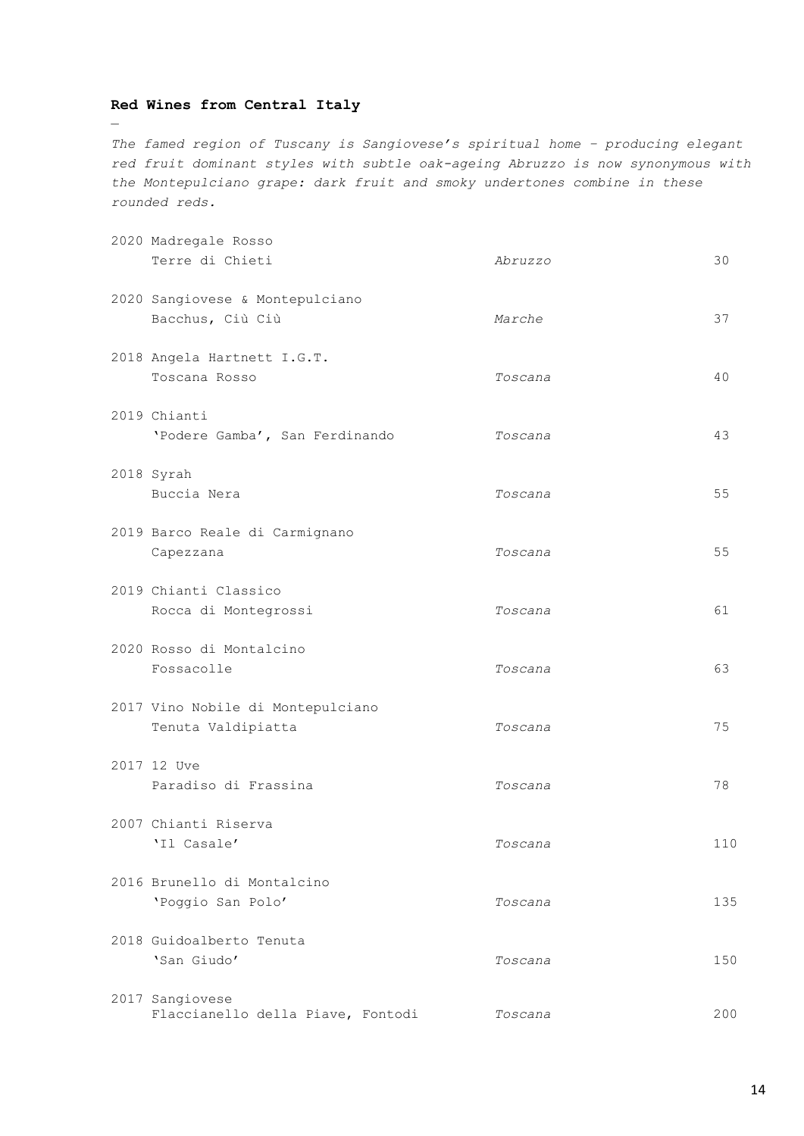# **Red Wines from Central Italy**

—

*The famed region of Tuscany is Sangiovese's spiritual home – producing elegant red fruit dominant styles with subtle oak-ageing Abruzzo is now synonymous with the Montepulciano grape: dark fruit and smoky undertones combine in these rounded reds.*

| 2020 Madregale Rosso<br>Terre di Chieti                 | Abruzzo | 30  |
|---------------------------------------------------------|---------|-----|
| 2020 Sangiovese & Montepulciano<br>Bacchus, Ciù Ciù     | Marche  | 37  |
| 2018 Angela Hartnett I.G.T.<br>Toscana Rosso            | Toscana | 40  |
| 2019 Chianti<br>'Podere Gamba', San Ferdinando          | Toscana | 43  |
| 2018 Syrah<br>Buccia Nera                               | Toscana | 55  |
| 2019 Barco Reale di Carmignano<br>Capezzana             | Toscana | 55  |
| 2019 Chianti Classico<br>Rocca di Montegrossi           | Toscana | 61  |
| 2020 Rosso di Montalcino<br>Fossacolle                  | Toscana | 63  |
| 2017 Vino Nobile di Montepulciano<br>Tenuta Valdipiatta | Toscana | 75  |
| 2017 12 Uve<br>Paradiso di Frassina                     | Toscana | 78  |
| 2007 Chianti Riserva<br>'Il Casale'                     | Toscana | 110 |
| 2016 Brunello di Montalcino<br>'Poggio San Polo'        | Toscana | 135 |
| 2018 Guidoalberto Tenuta<br>'San Giudo'                 | Toscana | 150 |
| 2017 Sangiovese<br>Flaccianello della Piave, Fontodi    | Toscana | 200 |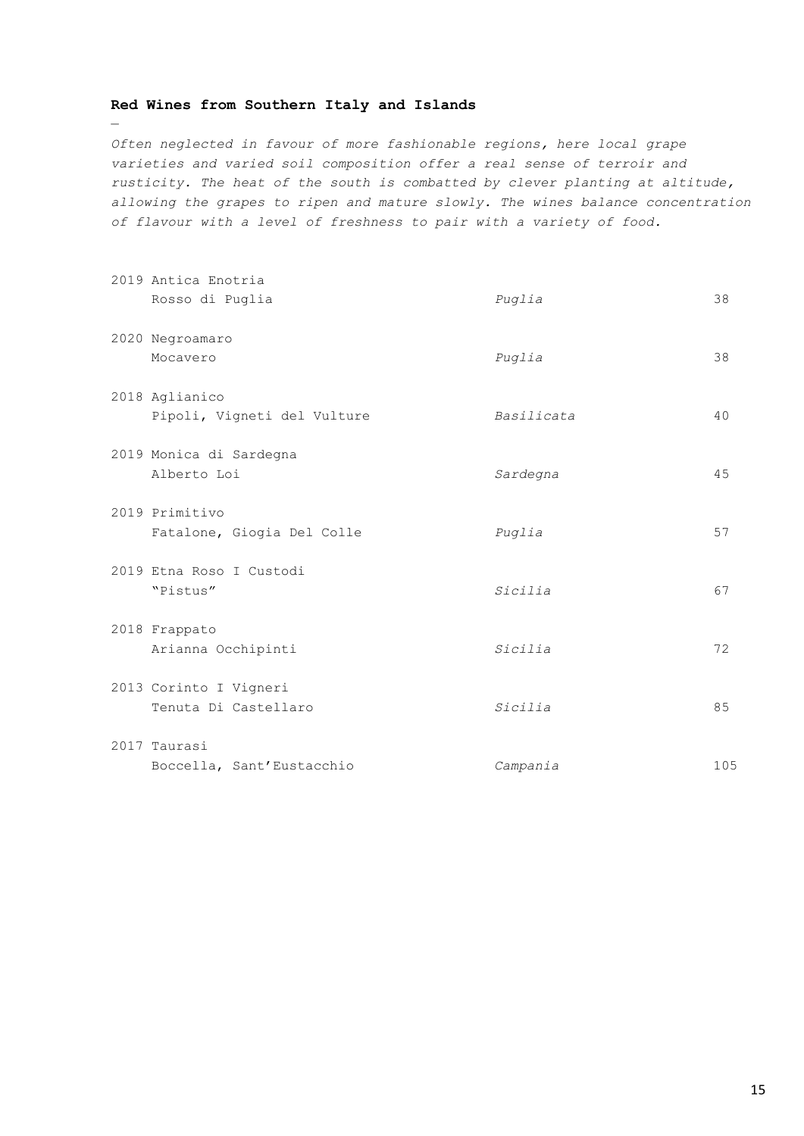# **Red Wines from Southern Italy and Islands**

—

*Often neglected in favour of more fashionable regions, here local grape varieties and varied soil composition offer a real sense of terroir and rusticity. The heat of the south is combatted by clever planting at altitude, allowing the grapes to ripen and mature slowly. The wines balance concentration of flavour with a level of freshness to pair with a variety of food.*

| 2019 Antica Enotria<br>Rosso di Puglia         | Puglia     | 38  |
|------------------------------------------------|------------|-----|
| 2020 Negroamaro<br>Mocavero                    | Puglia     | 38  |
| 2018 Aglianico<br>Pipoli, Vigneti del Vulture  | Basilicata | 40  |
| 2019 Monica di Sardegna<br>Alberto Loi         | Sardegna   | 45  |
| 2019 Primitivo<br>Fatalone, Giogia Del Colle   | Puglia     | 57  |
| 2019 Etna Roso I Custodi<br>"Pistus"           | Sicilia    | 67  |
| 2018 Frappato<br>Arianna Occhipinti            | Sicilia    | 72  |
| 2013 Corinto I Vigneri<br>Tenuta Di Castellaro | Sicilia    | 85  |
| 2017 Taurasi<br>Boccella, Sant'Eustacchio      | Campania   | 105 |